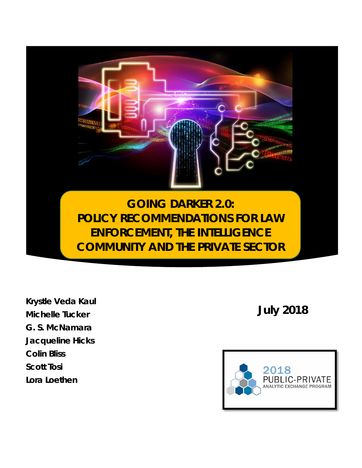

**ENFORCEMENT, THE INTELLIGENCE COMMUNITY AND THE PRIVATE SECTOR**

**Krystle Veda Kaul Michelle Tucker G. S. McNamara Jacqueline Hicks Colin Bliss Scott Tosi Lora Loethen**

# **July 2018**

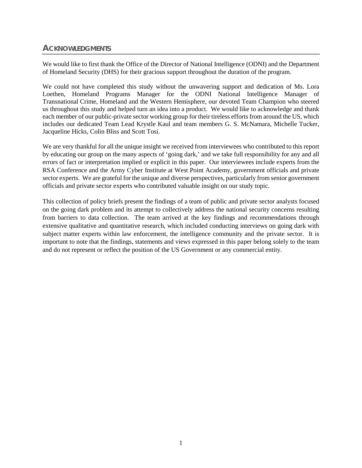## **ACKNOWLEDGMENTS**

We would like to first thank the Office of the Director of National Intelligence (ODNI) and the Department of Homeland Security (DHS) for their gracious support throughout the duration of the program.

We could not have completed this study without the unwavering support and dedication of Ms. Lora Loethen, Homeland Programs Manager for the ODNI National Intelligence Manager of Transnational Crime, Homeland and the Western Hemisphere, our devoted Team Champion who steered us throughout this study and helped turn an idea into a product. We would like to acknowledge and thank each member of our public-private sector working group for their tireless efforts from around the US, which includes our dedicated Team Lead Krystle Kaul and team members G. S. McNamara, Michelle Tucker, Jacqueline Hicks, Colin Bliss and Scott Tosi.

We are very thankful for all the unique insight we received from interviewees who contributed to this report by educating our group on the many aspects of 'going dark,' and we take full responsibility for any and all errors of fact or interpretation implied or explicit in this paper. Our interviewees include experts from the RSA Conference and the Army Cyber Institute at West Point Academy, government officials and private sector experts. We are grateful for the unique and diverse perspectives, particularly from senior government officials and private sector experts who contributed valuable insight on our study topic.

This collection of policy briefs present the findings of a team of public and private sector analysts focused on the going dark problem and its attempt to collectively address the national security concerns resulting from barriers to data collection. The team arrived at the key findings and recommendations through extensive qualitative and quantitative research, which included conducting interviews on going dark with subject matter experts within law enforcement, the intelligence community and the private sector. It is important to note that the findings, statements and views expressed in this paper belong solely to the team and do not represent or reflect the position of the US Government or any commercial entity.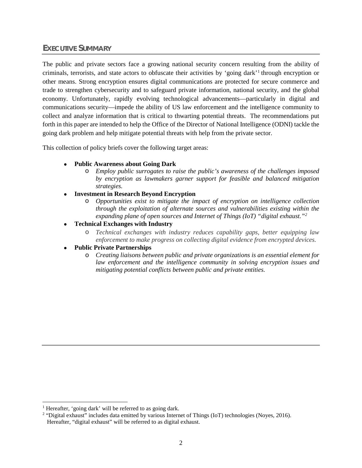#### **EXECUTIVE SUMMARY**

The public and private sectors face a growing national security concern resulting from the ability of criminals, terrorists, and state actors to obfuscate their activities by 'going dark'[1](#page-2-0) through encryption or other means. Strong encryption ensures digital communications are protected for secure commerce and trade to strengthen cybersecurity and to safeguard private information, national security, and the global economy. Unfortunately, rapidly evolving technological advancements—particularly in digital and communications security—impede the ability of US law enforcement and the intelligence community to collect and analyze information that is critical to thwarting potential threats. The recommendations put forth in this paper are intended to help the Office of the Director of National Intelligence (ODNI) tackle the going dark problem and help mitigate potential threats with help from the private sector.

This collection of policy briefs cover the following target areas:

- **Public Awareness about Going Dark**
	- o *Employ public surrogates to raise the public's awareness of the challenges imposed by encryption as lawmakers garner support for feasible and balanced mitigation strategies.*
- **Investment in Research Beyond Encryption**
	- o *Opportunities exist to mitigate the impact of encryption on intelligence collection through the exploitation of alternate sources and vulnerabilities existing within the expanding plane of open sources and Internet of Things (IoT) "digital exhaust."[2](#page-2-1)*
- **Technical Exchanges with Industry**
	- o *Technical exchanges with industry reduces capability gaps, better equipping law enforcement to make progress on collecting digital evidence from encrypted devices.*
- **Public Private Partnerships** 
	- o *Creating liaisons between public and private organizations is an essential element for law enforcement and the intelligence community in solving encryption issues and mitigating potential conflicts between public and private entities.*

 $\overline{a}$ 

<span id="page-2-0"></span><sup>&</sup>lt;sup>1</sup> Hereafter, 'going dark' will be referred to as going dark.

<span id="page-2-1"></span><sup>&</sup>lt;sup>2</sup> "Digital exhaust" includes data emitted by various Internet of Things (IoT) technologies (Noyes, 2016). Hereafter, "digital exhaust" will be referred to as digital exhaust.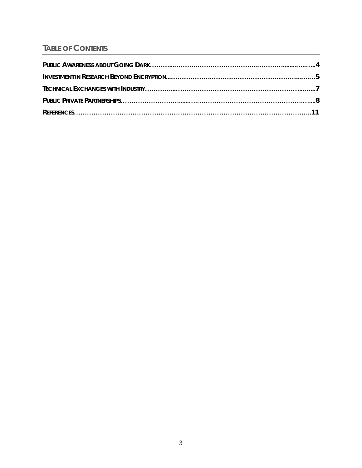# **TABLE OF CONTENTS**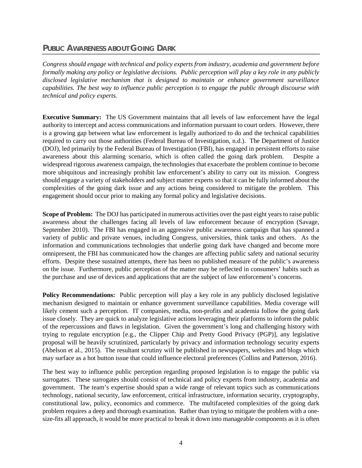### **PUBLIC AWARENESS ABOUT GOING DARK**

*Congress should engage with technical and policy experts from industry, academia and government before formally making any policy or legislative decisions. Public perception will play a key role in any publicly disclosed legislative mechanism that is designed to maintain or enhance government surveillance capabilities. The best way to influence public perception is to engage the public through discourse with technical and policy experts.* 

**Executive Summary:** The US Government maintains that all levels of law enforcement have the legal authority to intercept and access communications and information pursuant to court orders. However, there is a growing gap between what law enforcement is legally authorized to do and the technical capabilities required to carry out those authorities (Federal Bureau of Investigation, n.d.). The Department of Justice (DOJ), led primarily by the Federal Bureau of Investigation (FBI), has engaged in persistent efforts to raise awareness about this alarming scenario, which is often called the going dark problem. Despite a widespread rigorous awareness campaign, the technologies that exacerbate the problem continue to become more ubiquitous and increasingly prohibit law enforcement's ability to carry out its mission. Congress should engage a variety of stakeholders and subject matter experts so that it can be fully informed about the complexities of the going dark issue and any actions being considered to mitigate the problem. This engagement should occur prior to making any formal policy and legislative decisions.

**Scope of Problem:** The DOJ has participated in numerous activities over the past eight years to raise public awareness about the challenges facing all levels of law enforcement because of encryption (Savage, September 2010). The FBI has engaged in an aggressive public awareness campaign that has spanned a variety of public and private venues, including Congress, universities, think tanks and others. As the information and communications technologies that underlie going dark have changed and become more omnipresent, the FBI has communicated how the changes are affecting public safety and national security efforts. Despite these sustained attempts, there has been no published measure of the public's awareness on the issue. Furthermore, public perception of the matter may be reflected in consumers' habits such as the purchase and use of devices and applications that are the subject of law enforcement's concerns.

**Policy Recommendations:** Public perception will play a key role in any publicly disclosed legislative mechanism designed to maintain or enhance government surveillance capabilities. Media coverage will likely cement such a perception. IT companies, media, non-profits and academia follow the going dark issue closely. They are quick to analyze legislative actions leveraging their platforms to inform the public of the repercussions and flaws in legislation. Given the government's long and challenging history with trying to regulate encryption [e.g., the Clipper Chip and Pretty Good Privacy (PGP)], any legislative proposal will be heavily scrutinized, particularly by privacy and information technology security experts (Abelson et al., 2015). The resultant scrutiny will be published in newspapers, websites and blogs which may surface as a hot button issue that could influence electoral preferences (Collins and Patterson, 2016).

The best way to influence public perception regarding proposed legislation is to engage the public via surrogates. These surrogates should consist of technical and policy experts from industry, academia and government. The team's expertise should span a wide range of relevant topics such as communications technology, national security, law enforcement, critical infrastructure, information security, cryptography, constitutional law, policy, economics and commerce. The multifaceted complexities of the going dark problem requires a deep and thorough examination. Rather than trying to mitigate the problem with a onesize-fits all approach, it would be more practical to break it down into manageable components as it is often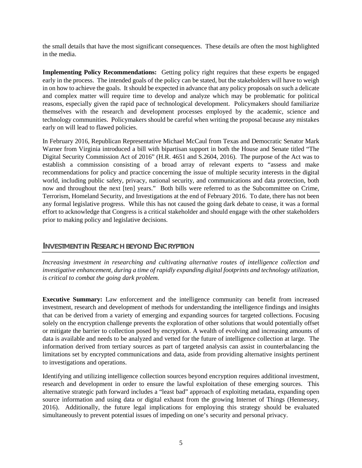the small details that have the most significant consequences. These details are often the most highlighted in the media.

**Implementing Policy Recommendations:** Getting policy right requires that these experts be engaged early in the process. The intended goals of the policy can be stated, but the stakeholders will have to weigh in on how to achieve the goals. It should be expected in advance that any policy proposals on such a delicate and complex matter will require time to develop and analyze which may be problematic for political reasons, especially given the rapid pace of technological development. Policymakers should familiarize themselves with the research and development processes employed by the academic, science and technology communities. Policymakers should be careful when writing the proposal because any mistakes early on will lead to flawed policies.

In February 2016, Republican Representative Michael McCaul from Texas and Democratic Senator Mark Warner from Virginia introduced a bill with bipartisan support in both the House and Senate titled "The Digital Security Commission Act of 2016" (H.R. 4651 and S.2604, 2016). The purpose of the Act was to establish a commission consisting of a broad array of relevant experts to "assess and make recommendations for policy and practice concerning the issue of multiple security interests in the digital world, including public safety, privacy, national security, and communications and data protection, both now and throughout the next [ten] years." Both bills were referred to as the Subcommittee on Crime, Terrorism, Homeland Security, and Investigations at the end of February 2016. To date, there has not been any formal legislative progress. While this has not caused the going dark debate to cease, it was a formal effort to acknowledge that Congress is a critical stakeholder and should engage with the other stakeholders prior to making policy and legislative decisions.

#### **INVESTMENT IN RESEARCH BEYOND ENCRYPTION**

*Increasing investment in researching and cultivating alternative routes of intelligence collection and investigative enhancement, during a time of rapidly expanding digital footprints and technology utilization, is critical to combat the going dark problem.*

**Executive Summary:** Law enforcement and the intelligence community can benefit from increased investment, research and development of methods for understanding the intelligence findings and insights that can be derived from a variety of emerging and expanding sources for targeted collections. Focusing solely on the encryption challenge prevents the exploration of other solutions that would potentially offset or mitigate the barrier to collection posed by encryption. A wealth of evolving and increasing amounts of data is available and needs to be analyzed and vetted for the future of intelligence collection at large. The information derived from tertiary sources as part of targeted analysis can assist in counterbalancing the limitations set by encrypted communications and data, aside from providing alternative insights pertinent to investigations and operations.

Identifying and utilizing intelligence collection sources beyond encryption requires additional investment, research and development in order to ensure the lawful exploitation of these emerging sources. This alternative strategic path forward includes a "least bad" approach of exploiting metadata, expanding open source information and using data or digital exhaust from the growing Internet of Things (Hennessey, 2016). Additionally, the future legal implications for employing this strategy should be evaluated simultaneously to prevent potential issues of impeding on one's security and personal privacy.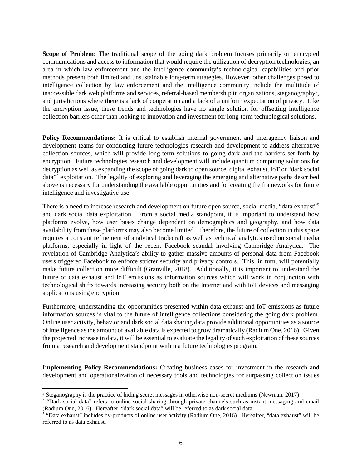**Scope of Problem:** The traditional scope of the going dark problem focuses primarily on encrypted communications and access to information that would require the utilization of decryption technologies, an area in which law enforcement and the intelligence community's technological capabilities and prior methods present both limited and unsustainable long-term strategies. However, other challenges posed to intelligence collection by law enforcement and the intelligence community include the multitude of inaccessible dark web platforms and services, referral-based membership in organizations, steganography<sup>[3](#page-6-0)</sup>, and jurisdictions where there is a lack of cooperation and a lack of a uniform expectation of privacy. Like the encryption issue, these trends and technologies have no single solution for offsetting intelligence collection barriers other than looking to innovation and investment for long-term technological solutions.

**Policy Recommendations:** It is critical to establish internal government and interagency liaison and development teams for conducting future technologies research and development to address alternative collection sources, which will provide long-term solutions to going dark and the barriers set forth by encryption. Future technologies research and development will include quantum computing solutions for decryption as well as expanding the scope of going dark to open source, digital exhaust, IoT or "dark social data"[4](#page-6-1) exploitation. The legality of exploring and leveraging the emerging and alternative paths described above is necessary for understanding the available opportunities and for creating the frameworks for future intelligence and investigative use.

There is a need to increase research and development on future open source, social media, "data exhaust"<sup>[5](#page-6-2)</sup> and dark social data exploitation. From a social media standpoint, it is important to understand how platforms evolve, how user bases change dependent on demographics and geography, and how data availability from these platforms may also become limited. Therefore, the future of collection in this space requires a constant refinement of analytical tradecraft as well as technical analytics used on social media platforms, especially in light of the recent Facebook scandal involving Cambridge Analytica. The revelation of Cambridge Analytica's ability to gather massive amounts of personal data from Facebook users triggered Facebook to enforce stricter security and privacy controls. This, in turn, will potentially make future collection more difficult (Granville, 2018). Additionally, it is important to understand the future of data exhaust and IoT emissions as information sources which will work in conjunction with technological shifts towards increasing security both on the Internet and with IoT devices and messaging applications using encryption.

Furthermore, understanding the opportunities presented within data exhaust and IoT emissions as future information sources is vital to the future of intelligence collections considering the going dark problem. Online user activity, behavior and dark social data sharing data provide additional opportunities as a source of intelligence as the amount of available data is expected to grow dramatically (Radium One, 2016). Given the projected increase in data, it will be essential to evaluate the legality of such exploitation of these sources from a research and development standpoint within a future technologies program.

**Implementing Policy Recommendations:** Creating business cases for investment in the research and development and operationalization of necessary tools and technologies for surpassing collection issues

<span id="page-6-0"></span> $\overline{a}$ <sup>3</sup> Steganography is the practice of hiding secret messages in otherwise non-secret mediums (Newman, 2017)

<span id="page-6-1"></span><sup>4</sup> "Dark social data" refers to online social sharing through private channels such as instant messaging and email (Radium One, 2016). Hereafter, "dark social data" will be referred to as dark social data.

<span id="page-6-2"></span><sup>5</sup> "Data exhaust" includes by-products of online user activity (Radium One, 2016). Hereafter, "data exhaust" will be referred to as data exhaust.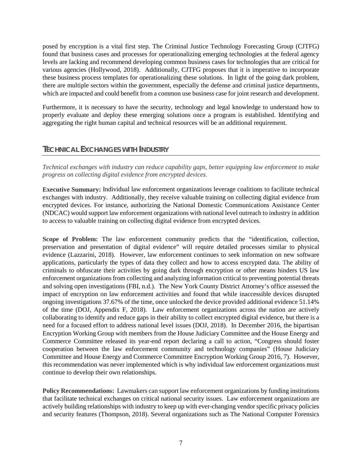posed by encryption is a vital first step. The Criminal Justice Technology Forecasting Group (CJTFG) found that business cases and processes for operationalizing emerging technologies at the federal agency levels are lacking and recommend developing common business cases for technologies that are critical for various agencies (Hollywood, 2018). Additionally, CJTFG proposes that it is imperative to incorporate these business process templates for operationalizing these solutions. In light of the going dark problem, there are multiple sectors within the government, especially the defense and criminal justice departments, which are impacted and could benefit from a common use business case for joint research and development.

Furthermore, it is necessary to have the security, technology and legal knowledge to understand how to properly evaluate and deploy these emerging solutions once a program is established. Identifying and aggregating the right human capital and technical resources will be an additional requirement.

#### **TECHNICAL EXCHANGES WITH INDUSTRY**

*Technical exchanges with industry can reduce capability gaps, better equipping law enforcement to make progress on collecting digital evidence from encrypted devices.*

**Executive Summary:** Individual law enforcement organizations leverage coalitions to facilitate technical exchanges with industry. Additionally, they receive valuable training on collecting digital evidence from encrypted devices. For instance, authorizing the National Domestic Communications Assistance Center (NDCAC) would support law enforcement organizations with national level outreach to industry in addition to access to valuable training on collecting digital evidence from encrypted devices.

**Scope of Problem:** The law enforcement community predicts that the "identification, collection, preservation and presentation of digital evidence" will require detailed processes similar to physical evidence (Lazzarini, 2018). However, law enforcement continues to seek information on new software applications, particularly the types of data they collect and how to access encrypted data. The ability of criminals to obfuscate their activities by going dark through encryption or other means hinders US law enforcement organizations from collecting and analyzing information critical to preventing potential threats and solving open investigations (FBI, n.d.). The New York County District Attorney's office assessed the impact of encryption on law enforcement activities and found that while inaccessible devices disrupted ongoing investigations 37.67% of the time, once unlocked the device provided additional evidence 51.14% of the time (DOJ, Appendix F, 2018). Law enforcement organizations across the nation are actively collaborating to identify and reduce gaps in their ability to collect encrypted digital evidence, but there is a need for a focused effort to address national level issues (DOJ, 2018). In December 2016, the bipartisan Encryption Working Group with members from the House Judiciary Committee and the House Energy and Commerce Committee released its year-end report declaring a call to action, "Congress should foster cooperation between the law enforcement community and technology companies" (House Judiciary Committee and House Energy and Commerce Committee Encryption Working Group 2016, 7). However, this recommendation was never implemented which is why individual law enforcement organizations must continue to develop their own relationships.

**Policy Recommendations:** Lawmakers can support law enforcement organizations by funding institutions that facilitate technical exchanges on critical national security issues. Law enforcement organizations are actively building relationships with industry to keep up with ever-changing vendor specific privacy policies and security features (Thompson, 2018). Several organizations such as The National Computer Forensics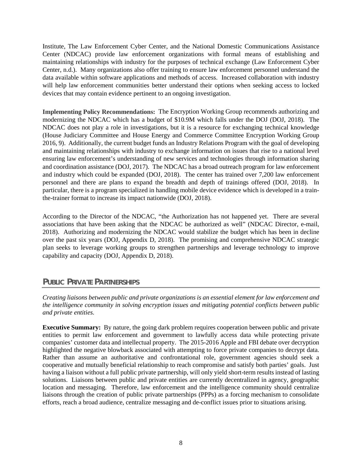Institute, The Law Enforcement Cyber Center, and the National Domestic Communications Assistance Center (NDCAC) provide law enforcement organizations with formal means of establishing and maintaining relationships with industry for the purposes of technical exchange (Law Enforcement Cyber Center, n.d.). Many organizations also offer training to ensure law enforcement personnel understand the data available within software applications and methods of access. Increased collaboration with industry will help law enforcement communities better understand their options when seeking access to locked devices that may contain evidence pertinent to an ongoing investigation.

**Implementing Policy Recommendations:** The Encryption Working Group recommends authorizing and modernizing the NDCAC which has a budget of \$10.9M which falls under the DOJ (DOJ, 2018). The NDCAC does not play a role in investigations, but it is a resource for exchanging technical knowledge (House Judiciary Committee and House Energy and Commerce Committee Encryption Working Group 2016, 9). Additionally, the current budget funds an Industry Relations Program with the goal of developing and maintaining relationships with industry to exchange information on issues that rise to a national level ensuring law enforcement's understanding of new services and technologies through information sharing and coordination assistance (DOJ, 2017). The NDCAC has a broad outreach program for law enforcement and industry which could be expanded (DOJ, 2018). The center has trained over 7,200 law enforcement personnel and there are plans to expand the breadth and depth of trainings offered (DOJ, 2018). In particular, there is a program specialized in handling mobile device evidence which is developed in a trainthe-trainer format to increase its impact nationwide (DOJ, 2018).

According to the Director of the NDCAC, "the Authorization has not happened yet. There are several associations that have been asking that the NDCAC be authorized as well" (NDCAC Director, e-mail, 2018). Authorizing and modernizing the NDCAC would stabilize the budget which has been in decline over the past six years (DOJ, Appendix D, 2018). The promising and comprehensive NDCAC strategic plan seeks to leverage working groups to strengthen partnerships and leverage technology to improve capability and capacity (DOJ, Appendix D, 2018).

#### **PUBLIC PRIVATE PARTNERSHIPS**

*Creating liaisons between public and private organizations is an essential element for law enforcement and the intelligence community in solving encryption issues and mitigating potential conflicts between public and private entities.*

**Executive Summary:** By nature, the going dark problem requires cooperation between public and private entities to permit law enforcement and government to lawfully access data while protecting private companies' customer data and intellectual property. The 2015-2016 Apple and FBI debate over decryption highlighted the negative blowback associated with attempting to force private companies to decrypt data. Rather than assume an authoritative and confrontational role, government agencies should seek a cooperative and mutually beneficial relationship to reach compromise and satisfy both parties' goals. Just having a liaison without a full public private partnership, will only yield short-term results instead of lasting solutions. Liaisons between public and private entities are currently decentralized in agency, geographic location and messaging. Therefore, law enforcement and the intelligence community should centralize liaisons through the creation of public private partnerships (PPPs) as a forcing mechanism to consolidate efforts, reach a broad audience, centralize messaging and de-conflict issues prior to situations arising.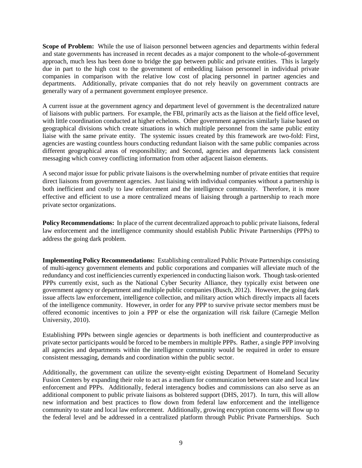**Scope of Problem:** While the use of liaison personnel between agencies and departments within federal and state governments has increased in recent decades as a major component to the whole-of-government approach, much less has been done to bridge the gap between public and private entities. This is largely due in part to the high cost to the government of embedding liaison personnel in individual private companies in comparison with the relative low cost of placing personnel in partner agencies and departments. Additionally, private companies that do not rely heavily on government contracts are generally wary of a permanent government employee presence.

A current issue at the government agency and department level of government is the decentralized nature of liaisons with public partners. For example, the FBI, primarily acts as the liaison at the field office level, with little coordination conducted at higher echelons. Other government agencies similarly liaise based on geographical divisions which create situations in which multiple personnel from the same public entity liaise with the same private entity. The systemic issues created by this framework are two-fold: First, agencies are wasting countless hours conducting redundant liaison with the same public companies across different geographical areas of responsibility; and Second, agencies and departments lack consistent messaging which convey conflicting information from other adjacent liaison elements.

A second major issue for public private liaisons is the overwhelming number of private entities that require direct liaisons from government agencies. Just liaising with individual companies without a partnership is both inefficient and costly to law enforcement and the intelligence community. Therefore, it is more effective and efficient to use a more centralized means of liaising through a partnership to reach more private sector organizations.

**Policy Recommendations:** In place of the current decentralized approach to public private liaisons, federal law enforcement and the intelligence community should establish Public Private Partnerships (PPPs) to address the going dark problem.

**Implementing Policy Recommendations:** Establishing centralized Public Private Partnerships consisting of multi-agency government elements and public corporations and companies will alleviate much of the redundancy and cost inefficiencies currently experienced in conducting liaison work. Though task-oriented PPPs currently exist, such as the National Cyber Security Alliance, they typically exist between one government agency or department and multiple public companies (Busch, 2012). However, the going dark issue affects law enforcement, intelligence collection, and military action which directly impacts all facets of the intelligence community. However, in order for any PPP to survive private sector members must be offered economic incentives to join a PPP or else the organization will risk failure (Carnegie Mellon University, 2010).

Establishing PPPs between single agencies or departments is both inefficient and counterproductive as private sector participants would be forced to be members in multiple PPPs. Rather, a single PPP involving all agencies and departments within the intelligence community would be required in order to ensure consistent messaging, demands and coordination within the public sector.

Additionally, the government can utilize the seventy-eight existing Department of Homeland Security Fusion Centers by expanding their role to act as a medium for communication between state and local law enforcement and PPPs. Additionally, federal interagency bodies and commissions can also serve as an additional component to public private liaisons as bolstered support (DHS, 2017). In turn, this will allow new information and best practices to flow down from federal law enforcement and the intelligence community to state and local law enforcement. Additionally, growing encryption concerns will flow up to the federal level and be addressed in a centralized platform through Public Private Partnerships. Such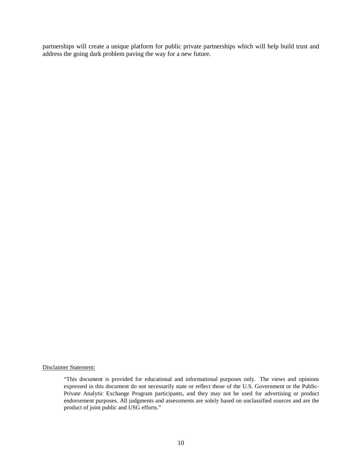partnerships will create a unique platform for public private partnerships which will help build trust and address the going dark problem paving the way for a new future.

#### Disclaimer Statement:

"This document is provided for educational and informational purposes only. The views and opinions expressed in this document do not necessarily state or reflect those of the U.S. Government or the Public-Private Analytic Exchange Program participants, and they may not be used for advertising or product endorsement purposes. All judgments and assessments are solely based on unclassified sources and are the product of joint public and USG efforts."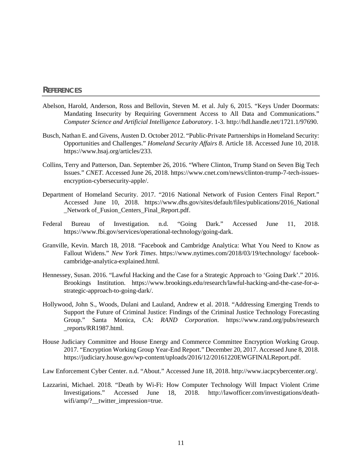#### **REFERENCES**

- Abelson, Harold, Anderson, Ross and Bellovin, Steven M. et al. July 6, 2015. "Keys Under Doormats: Mandating Insecurity by Requiring Government Access to All Data and Communications." *Computer Science and Artificial Intelligence Laboratory*. 1-3. http://hdl.handle.net/1721.1/97690.
- Busch, Nathan E. and Givens, Austen D. October 2012. "Public-Private Partnerships in Homeland Security: Opportunities and Challenges." *Homeland Security Affairs 8*. Article 18. Accessed June 10, 2018. [https://www.hsaj.org/articles/233.](https://www.hsaj.org/articles/233)
- Collins, Terry and Patterson, Dan. September 26, 2016. "Where Clinton, Trump Stand on Seven Big Tech Issues." *CNET*. Accessed June 26, 2018. https://www.cnet.com/news/clinton-trump-7-tech-issuesencryption-cybersecurity-apple/.
- Department of Homeland Security. 2017. "2016 National Network of Fusion Centers Final Report." Accessed June 10, 2018. [https://www.dhs.gov/sites/default/files/publications/2016\\_National](https://www.dhs.gov/sites/default/files/publications/2016_National%20_Network%20of_Fusion_)  [\\_Network of\\_Fusion\\_C](https://www.dhs.gov/sites/default/files/publications/2016_National%20_Network%20of_Fusion_)enters\_Final\_Report.pdf.
- Federal Bureau of Investigation. n.d. "Going Dark." Accessed June 11, 2018. https://www.fbi.gov/services/operational-technology/going-dark.
- Granville, Kevin. March 18, 2018. "Facebook and Cambridge Analytica: What You Need to Know as Fallout Widens." *New York Times*.<https://www.nytimes.com/2018/03/19/technology/> facebookcambridge-analytica-explained.html.
- Hennessey, Susan. 2016. "Lawful Hacking and the Case for a Strategic Approach to 'Going Dark'." 2016. Brookings Institution. [https://www.brookings.edu/research/lawful-hacking-and-the-case-for-a](https://www.brookings.edu/research/lawful-hacking-and-the-case-for-a-strategic-approach-to-going-dark/)[strategic-approach-to-going-dark/.](https://www.brookings.edu/research/lawful-hacking-and-the-case-for-a-strategic-approach-to-going-dark/)
- Hollywood, John S., Woods, Dulani and Lauland, Andrew et al. 2018. "Addressing Emerging Trends to Support the Future of Criminal Justice: Findings of the Criminal Justice Technology Forecasting Group." Santa Monica, CA: *RAND Corporation*. <https://www.rand.org/pubs/research> \_reports/RR1987.html.
- House Judiciary Committee and House Energy and Commerce Committee Encryption Working Group. 2017. "Encryption Working Group Year-End Report." December 20, 2017. Accessed June 8, 2018. https://judiciary.house.gov/wp-content/uploads/2016/12/20161220EWGFINALReport.pdf.

Law Enforcement Cyber Center. n.d. "About." Accessed June 18, 2018. http://www.iacpcybercenter.org/.

Lazzarini, Michael. 2018. "Death by Wi-Fi: How Computer Technology Will Impact Violent Crime Investigations." Accessed June 18, 2018. http://lawofficer.com/investigations/deathwifi/amp/? twitter impression=true.